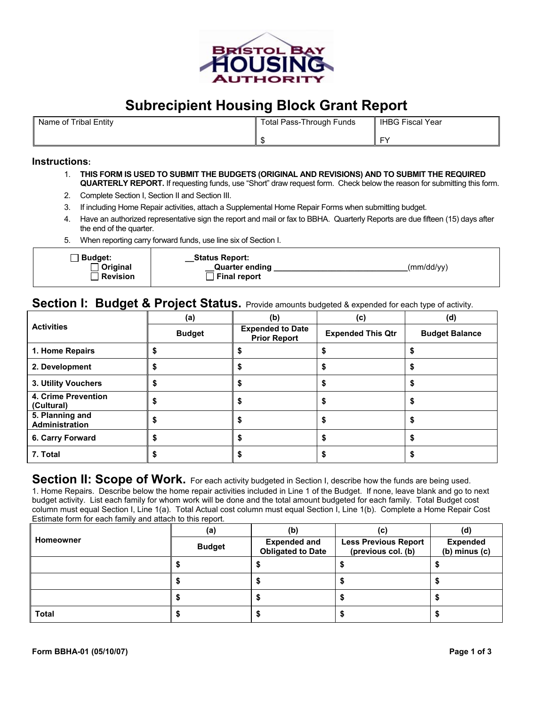

# **Subrecipient Housing Block Grant Report**

| Name of Tribal Entity | Total Pass-Through Funds | <b>IHBG Fiscal Year</b> |
|-----------------------|--------------------------|-------------------------|
|                       |                          | ΓV.                     |

### **Instructions:**

- 1. **THIS FORM IS USED TO SUBMIT THE BUDGETS (ORIGINAL AND REVISIONS) AND TO SUBMIT THE REQUIRED QUARTERLY REPORT.** If requesting funds, use "Short" draw request form. Check below the reason for submitting this form.
- 2. Complete Section I, Section II and Section III.
- 3. If including Home Repair activities, attach a Supplemental Home Repair Forms when submitting budget.
- 4. Have an authorized representative sign the report and mail or fax to BBHA. Quarterly Reports are due fifteen (15) days after the end of the quarter.
- 5. When reporting carry forward funds, use line six of Section I.

|  | ∃ Budget:<br>Original<br>Revision | <b>Status Report:</b><br><b>Quarter ending</b><br>Final report | (mm/dd/yy) |
|--|-----------------------------------|----------------------------------------------------------------|------------|
|--|-----------------------------------|----------------------------------------------------------------|------------|

### **Section I: Budget & Project Status.** Provide amounts budgeted & expended for each type of activity.

|                                   | (a)           | (b)                                            | (c)                      | (d)                   |
|-----------------------------------|---------------|------------------------------------------------|--------------------------|-----------------------|
| <b>Activities</b>                 | <b>Budget</b> | <b>Expended to Date</b><br><b>Prior Report</b> | <b>Expended This Qtr</b> | <b>Budget Balance</b> |
| 1. Home Repairs                   |               |                                                |                          |                       |
| 2. Development                    |               |                                                |                          |                       |
| 3. Utility Vouchers               |               |                                                |                          |                       |
| 4. Crime Prevention<br>(Cultural) |               |                                                |                          |                       |
| 5. Planning and<br>Administration |               |                                                |                          |                       |
| 6. Carry Forward                  |               |                                                |                          |                       |
| 7. Total                          |               |                                                |                          |                       |

**Section II: Scope of Work.** For each activity budgeted in Section I, describe how the funds are being used. 1. Home Repairs. Describe below the home repair activities included in Line 1 of the Budget. If none, leave blank and go to next budget activity. List each family for whom work will be done and the total amount budgeted for each family. Total Budget cost column must equal Section I, Line 1(a). Total Actual cost column must equal Section I, Line 1(b). Complete a Home Repair Cost Estimate form for each family and attach to this report.

|              | (a)           | (b)                                             | (c)                                               | (d)                                  |
|--------------|---------------|-------------------------------------------------|---------------------------------------------------|--------------------------------------|
| Homeowner    | <b>Budget</b> | <b>Expended and</b><br><b>Obligated to Date</b> | <b>Less Previous Report</b><br>(previous col. (b) | <b>Expended</b><br>$(b)$ minus $(c)$ |
|              |               |                                                 |                                                   |                                      |
|              |               |                                                 |                                                   |                                      |
|              |               |                                                 |                                                   |                                      |
| <b>Total</b> |               |                                                 |                                                   |                                      |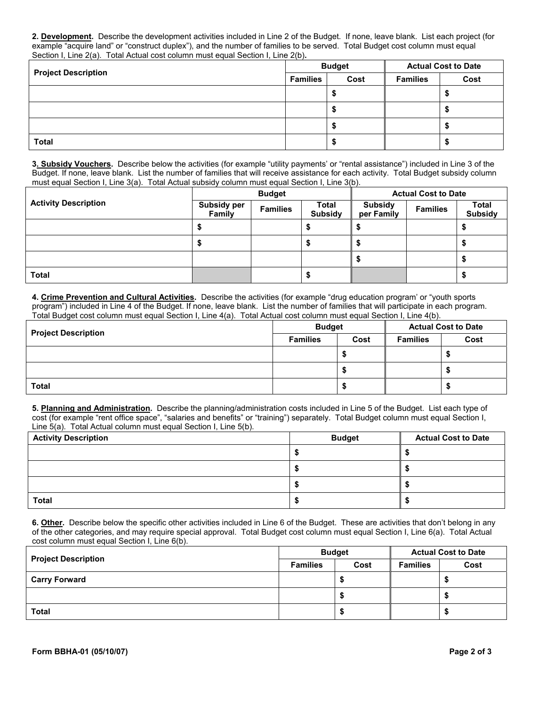**2. Development.** Describe the development activities included in Line 2 of the Budget. If none, leave blank. List each project (for example "acquire land" or "construct duplex"), and the number of families to be served. Total Budget cost column must equal Section I, Line 2(a). Total Actual cost column must equal Section I, Line 2(b)**.** 

|                            | <b>Budget</b> |      | <b>Actual Cost to Date</b> |      |
|----------------------------|---------------|------|----------------------------|------|
| <b>Project Description</b> |               | Cost | <b>Families</b>            | Cost |
|                            |               |      |                            |      |
|                            |               |      |                            |      |
|                            |               |      |                            |      |
| <b>Total</b>               |               |      |                            |      |

**3. Subsidy Vouchers.** Describe below the activities (for example "utility payments' or "rental assistance") included in Line 3 of the Budget. If none, leave blank. List the number of families that will receive assistance for each activity. Total Budget subsidy column must equal Section I, Line 3(a). Total Actual subsidy column must equal Section I, Line 3(b).

|                             | <b>Budget</b>                |                 |                         | <b>Actual Cost to Date</b>   |                 |                                |
|-----------------------------|------------------------------|-----------------|-------------------------|------------------------------|-----------------|--------------------------------|
| <b>Activity Description</b> | <b>Subsidy per</b><br>Family | <b>Families</b> | Total<br><b>Subsidy</b> | <b>Subsidy</b><br>per Family | <b>Families</b> | <b>Total</b><br><b>Subsidy</b> |
|                             |                              |                 |                         |                              |                 | Ð                              |
|                             |                              |                 |                         |                              |                 |                                |
|                             |                              |                 |                         |                              |                 | Ð                              |
| Total                       |                              |                 |                         |                              |                 | ⊕                              |

**4. Crime Prevention and Cultural Activities.** Describe the activities (for example "drug education program' or "youth sports program") included in Line 4 of the Budget. If none, leave blank. List the number of families that will participate in each program. Total Budget cost column must equal Section I, Line 4(a). Total Actual cost column must equal Section I, Line 4(b).

| <b>Project Description</b> | <b>Budget</b>   |      | <b>Actual Cost to Date</b> |      |
|----------------------------|-----------------|------|----------------------------|------|
|                            | <b>Families</b> | Cost | <b>Families</b>            | Cost |
|                            |                 |      |                            |      |
|                            |                 |      |                            |      |
| <b>Total</b>               |                 |      |                            |      |

**5. Planning and Administration.** Describe the planning/administration costs included in Line 5 of the Budget. List each type of cost (for example "rent office space", "salaries and benefits" or "training") separately. Total Budget column must equal Section I, Line 5(a). Total Actual column must equal Section I, Line 5(b).

| <b>Activity Description</b> | <b>Budget</b> | <b>Actual Cost to Date</b> |
|-----------------------------|---------------|----------------------------|
|                             |               |                            |
|                             |               |                            |
|                             |               |                            |
| <b>Total</b>                |               |                            |

**6. Other.** Describe below the specific other activities included in Line 6 of the Budget. These are activities that don't belong in any of the other categories, and may require special approval. Total Budget cost column must equal Section I, Line 6(a). Total Actual cost column must equal Section I, Line 6(b).

| <b>Project Description</b> | <b>Budget</b>   |      | <b>Actual Cost to Date</b> |      |
|----------------------------|-----------------|------|----------------------------|------|
|                            | <b>Families</b> | Cost | <b>Families</b>            | Cost |
| <b>Carry Forward</b>       |                 |      |                            |      |
|                            |                 | - 33 |                            |      |
| <b>Total</b>               |                 |      |                            |      |